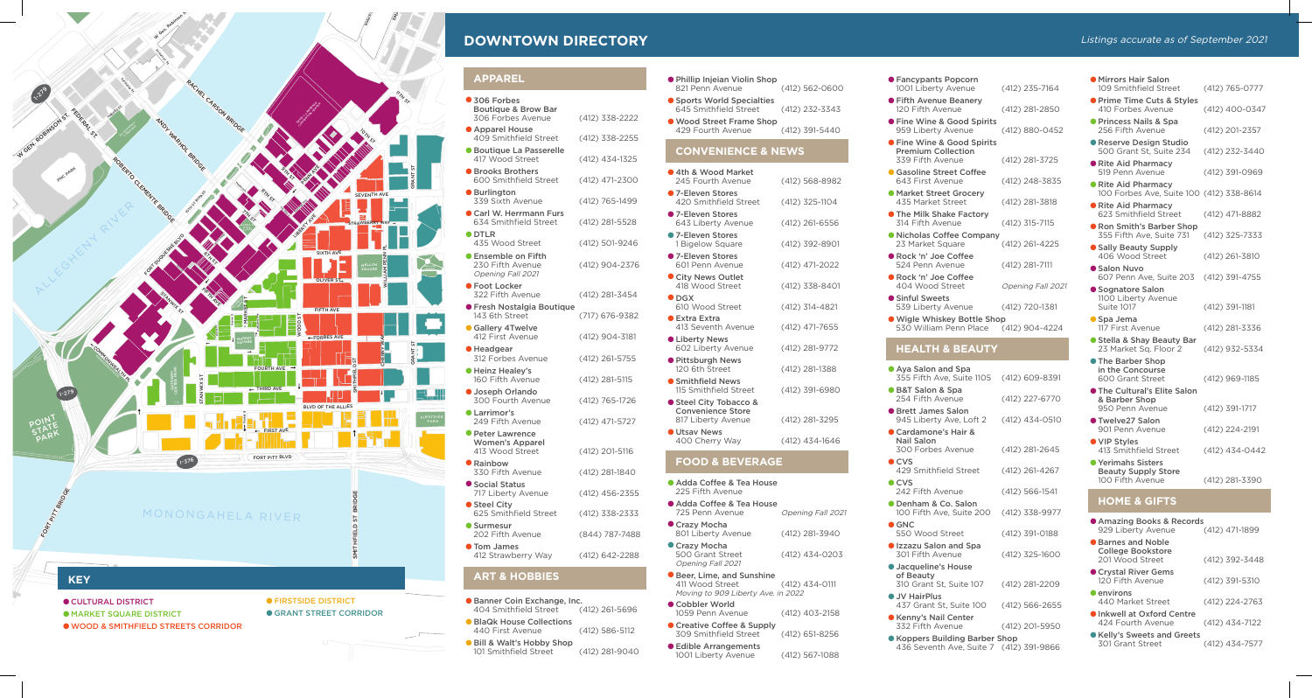500 Grant Street (412) 434-0203

Opening Fall 2021 •Beer, Lime, and Sunshine

**•Cobbler World** 

**• Creative Coffee & Supply** 

411 Wood Street (412) 434-0111 Moving to 909 Liberty Ave. in 2022

1059 Penn Avenue (412) 403-2158

309 Smithfield Street (412) 651-8256

•Edible Arrangements

- **Fancypants Popc** 1001 Liberty Aver
- **Fifth Avenue Bea** 120 Fifth Avenue
- **Fine Wine & Goo** 959 Liberty Aven
- **Fine Wine & Goo** Premium Collecti 339 Fifth Avenue
- **Gasoline Street Correct** 643 First Avenue **•Market Street Gro**
- 435 Market Stree  $\bullet$  The Milk Shake F 314 Fifth Avenue
- $\bullet$  Nicholas Coffee 23 Market Square
- **Rock 'n' Joe Coff** 524 Penn Avenue
- **Rock 'n' Joe Coff** 404 Wood Street
- **•** Sinful Sweets 539 Liberty Aven
- 

1001 Liberty Avenue (412) 567-1088

•Wigle Whiskey Bottle Shop 530 William Penn Place (412) 904-4224

| pa<br>uite 1105                            | (412) 609-8391     |
|--------------------------------------------|--------------------|
| ì<br>e                                     | (412) 227-6770     |
| on<br>Loft 2                               | (412) 434-0510     |
| ir &                                       |                    |
| nue                                        | (412) 281-2645     |
| treet                                      | (412) 261-4267     |
| e                                          | (412) 566-1541     |
| alon<br>iite 200                           | (412) 338-9977     |
| ٠t                                         | (412) 391-0188     |
| d Spa<br>ì                                 | (412) 325-1600     |
| use                                        |                    |
| te 107                                     | (412) 281-2209     |
| ite 100                                    | $(412) 566 - 2655$ |
| าter<br>F.                                 | (412) 201-5950     |
| g Barber Shop<br>e, Suite 7 (412) 391-9866 |                    |

- Banner Coin Exchange, Inc.<br>404 Smithfield Street (412) 261-5696 404 Smithfield Street
- •BlaQk House Collections 440 First Avenue (412) 586-5112
- Bill & Walt's Hobby Shop<br>
101 Smithfield Street 101 Smithfield Street (412) 281-9040

#### **HEALTH & BEAUTY**

- Aya Salon and Sp 355 Fifth Ave, Suite
	- •B&T Salon & Spa 254 Fifth Avenue
	- **•** Brett James Salo 945 Liberty Ave, **Cardamone's Hair & Cardamone's Hair** Nail Salon
	- 300 Forbes Aver  $\bullet$  CVS
	- 429 Smithfield Street  $\bullet$  CVS
	- 242 Fifth Avenue
	- **•Denham & Co. Salon** 100 Fifth Ave, Su
	- **•GNC** 550 Wood Street **• Izzazu Salon and**
	- 301 Fifth Avenue **• Jacqueline's House**
	- of Beauty 310 Grant St, Sui **•JV HairPlus**
	- 437 Grant St, Sui
	- **•Kenny's Nail Center** 332 Fifth Avenue
	- Koppers Building 436 Seventh Ave

| <b>• Mirrors Hair Salon</b><br>109 Smithfield Street                  | (412) 765-0777 |
|-----------------------------------------------------------------------|----------------|
| ● Prime Time Cuts & Styles<br>410 Forbes Avenue                       | (412) 400-0347 |
| ● Princess Nails & Spa<br>256 Fifth Avenue                            | (412) 201-2357 |
| <b>• Reserve Design Studio</b><br>500 Grant St, Suite 234             | (412) 232-3440 |
| Rite Aid Pharmacy<br>519 Penn Avenue                                  | (412) 391-0969 |
| Rite Aid Pharmacy<br>100 Forbes Ave, Suite 100 (412) 338-8614         |                |
| ● Rite Aid Pharmacy<br>623 Smithfield Street                          | (412) 471-8882 |
| Ron Smith's Barber Shop<br>355 Fifth Ave, Suite 731                   | (412) 325-7333 |
| ● Sally Beauty Supply<br>406 Wood Street                              | (412) 261-3810 |
| ● Salon Nuvo<br>607 Penn Ave, Suite 203                               | (412) 391-4755 |
| ● Sognatore Salon<br>1100 Liberty Avenue<br>Suite 1017                | (412) 391-1181 |
| Spa Jema<br>117 First Avenue                                          | (412) 281-3336 |
| Stella & Shay Beauty Bar<br>23 Market Sq. Floor 2                     | (412) 932-5334 |
| ● The Barber Shop<br>in the Concourse<br>600 Grant Street             | (412) 969-1185 |
| <b>The Cultural's Elite Salon</b><br>& Barber Shop<br>950 Penn Avenue | (412) 391-1717 |
| ● Twelve27 Salon<br>901 Penn Avenue                                   | (412) 224-2191 |
| ● VIP Styles<br>413 Smithfield Street                                 | (412) 434-0442 |
| ● Yerimahs Sisters<br><b>Beauty Supply Store</b><br>100 Fifth Avenue  | (412) 281-3390 |
| <b>HOME &amp; GIFTS</b>                                               |                |
| $ R - 1 - R$                                                          |                |

#### **ART & HOBBIES**

| ● Phillip Injeian Violin Shop<br>821 Penn Avenue<br>Sports World Specialties<br>645 Smithfield Street<br>● Wood Street Frame Shop<br>429 Fourth Avenue | (412) 562-0600<br>(412) 232-3343<br>(412) 391-5440 |
|--------------------------------------------------------------------------------------------------------------------------------------------------------|----------------------------------------------------|
| <b>CONVENIENCE &amp; NEWS</b>                                                                                                                          |                                                    |
| ● 4th & Wood Market<br>245 Fourth Avenue                                                                                                               | (412) 568-8982                                     |
| ● 7-Eleven Stores<br>420 Smithfield Street                                                                                                             | (412) 325-1104                                     |
| ● 7-Eleven Stores<br>643 Liberty Avenue                                                                                                                | (412) 261-6556                                     |
| ● 7-Eleven Stores<br>1 Bigelow Square                                                                                                                  | (412) 392-8901                                     |
| ● 7-Eleven Stores<br>601 Penn Avenue                                                                                                                   | (412) 471-2022                                     |
| City News Outlet<br>418 Wood Street                                                                                                                    | (412) 338-8401                                     |
| $\bullet$ DGX<br>610 Wood Street                                                                                                                       | (412) 314-4821                                     |
| <b>Extra Extra</b><br>413 Seventh Avenue                                                                                                               | (412) 471-7655                                     |
| <b>CLiberty News</b><br>602 Liberty Avenue                                                                                                             | (412) 281-9772                                     |
| ● Pittsburgh News<br>120 6th Street                                                                                                                    | (412) 281-1388                                     |
| ● Smithfield News<br>115 Smithfield Street                                                                                                             | (412) 391-6980                                     |
| Steel City Tobacco &<br><b>Convenience Store</b><br>817 Liberty Avenue                                                                                 | (412) 281-3295                                     |
| <b>Utsav News</b><br>400 Cherry Way                                                                                                                    | (412) 434-1646                                     |
| <b>FOOD &amp; BEVERAGE</b>                                                                                                                             |                                                    |
| Adda Coffee & Tea House<br>225 Fifth Avenue                                                                                                            |                                                    |
| Adda Coffee & Tea House<br>725 Penn Avenue                                                                                                             | Opening Fall 2021                                  |
| ● Crazy Mocha<br>801 Liberty Avenue                                                                                                                    | (412) 281-3940                                     |
| ● Crazy Mocha                                                                                                                                          |                                                    |

- **MARKET SQUARE DISTRICT**
- •WOOD & SMITHFIELD STREETS CORRIDOR

### **• FIRSTSIDE DISTRICT**

 $\bullet$  **GRANT STREET CORRIDOR** 



# **DOWNTOWN DIRECTORY**

| <b>APPAREL</b> |  |
|----------------|--|

| <b>APPAREL</b>                                                       |                  |
|----------------------------------------------------------------------|------------------|
| ● 306 Forbes<br><b>Boutique &amp; Brow Bar</b><br>306 Forbes Avenue  | (412) 338-2222   |
| ● Apparel House<br>409 Smithfield Street                             | (412) 338-2255   |
| <b>• Boutique La Passerelle</b><br>417 Wood Street                   | (412) 434-1325   |
| <b>• Brooks Brothers</b><br>600 Smithfield Street                    | (412) 471-2300   |
| <b>Burlington</b><br>339 Sixth Avenue                                | (412) 765-1499   |
| Carl W. Herrmann Furs<br>634 Smithfield Street                       | (412) 281-5528   |
| $\bullet$ DTLR<br>435 Wood Street                                    | (412) 501-9246   |
| ● Ensemble on Fifth<br>230 Fifth Avenue<br>Opening Fall 2021         | (412) 904-2376   |
| ● Foot Locker<br>322 Fifth Avenue                                    | (412) 281-3454   |
| ● Fresh Nostalgia Boutique<br>143 6th Street                         | (717) 676-9382   |
| <b>Gallery 4Twelve</b><br>412 First Avenue                           | (412) 904-3181   |
| ● Headgear<br>312 Forbes Avenue                                      | (412) 261-5755   |
| ● Heinz Healev's<br>160 Fifth Avenue                                 | (412) 281-5115   |
| <b>Joseph Orlando</b><br>300 Fourth Avenue                           | (412) 765-1726   |
| <b>CLarrimor's</b><br>249 Fifth Avenue                               | (412) 471-5727   |
| <b>• Peter Lawrence</b><br><b>Women's Apparel</b><br>413 Wood Street | (412) 201-5116   |
| <b>•</b> Rainbow<br>330 Fifth Avenue                                 | (412) 281-1840   |
| Social Status<br>717 Liberty Avenue                                  | $(412)$ 456-2355 |
| ● Steel City<br>625 Smithfield Street                                | (412) 338-2333   |
| • Surmesur<br>202 Fifth Avenue                                       | (844) 787-7488   |
| <b>Tom James</b><br>412 Strawberry Way                               | (412) 642-2288   |
|                                                                      |                  |

| <b>MATTELLITY DOORS &amp; RECORDS</b><br>929 Liberty Avenue | (412) 471-1899 |
|-------------------------------------------------------------|----------------|
| ● Barnes and Noble<br>College Bookstore<br>201 Wood Street  | (412) 392-3448 |
| ● Crystal River Gems<br>120 Fifth Avenue                    | (412) 391-5310 |
| $\bullet$ environs<br>440 Market Street                     | (412) 224-2763 |
| Inkwell at Oxford Centre<br>424 Fourth Avenue               | (412) 434-7122 |
| ● Kelly's Sweets and Greets<br>301 Grant Street             | (412) 434-7577 |
|                                                             |                |

Arthur St



#### $\bullet$  **CULTURAL DISTRICT**

Listings accurate as of September 2021

| corn<br>nue       | (412) 235-7164    |
|-------------------|-------------------|
| anery             | (412) 281-2850    |
| d Spirits<br>nue  | (412) 880-0452    |
| d Spirits<br>ion: |                   |
| ₿                 | (412) 281-3725    |
| Coffee<br>ĭ       | (412) 248-3835    |
| ocery<br>эt       | (412) 281-3818    |
| Factory           | (412) 315-7115    |
| Company<br>ë      | (412) 261-4225    |
| fee<br>ë          | (412) 281-7111    |
| fee<br>t          | Opening Fall 2021 |
| nue               | (412) 720-1381    |